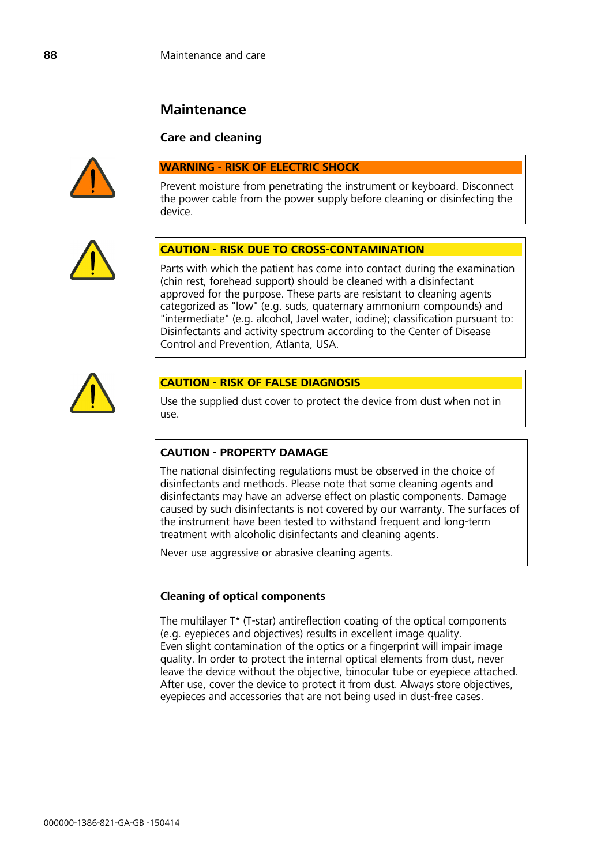# **Maintenance**

# **Care and cleaning**



# **WARNING - RISK OF ELECTRIC SHOCK**

Prevent moisture from penetrating the instrument or keyboard. Disconnect the power cable from the power supply before cleaning or disinfecting the device.



# **CAUTION - RISK DUE TO CROSS-CONTAMINATION**

Parts with which the patient has come into contact during the examination (chin rest, forehead support) should be cleaned with a disinfectant approved for the purpose. These parts are resistant to cleaning agents categorized as "low" (e.g. suds, quaternary ammonium compounds) and "intermediate" (e.g. alcohol, Javel water, iodine); classification pursuant to: Disinfectants and activity spectrum according to the Center of Disease Control and Prevention, Atlanta, USA.



#### **CAUTION - RISK OF FALSE DIAGNOSIS**

Use the supplied dust cover to protect the device from dust when not in use.

# **CAUTION - PROPERTY DAMAGE**

The national disinfecting regulations must be observed in the choice of disinfectants and methods. Please note that some cleaning agents and disinfectants may have an adverse effect on plastic components. Damage caused by such disinfectants is not covered by our warranty. The surfaces of the instrument have been tested to withstand frequent and long-term treatment with alcoholic disinfectants and cleaning agents.

Never use aggressive or abrasive cleaning agents.

# **Cleaning of optical components**

The multilayer T\* (T-star) antireflection coating of the optical components (e.g. eyepieces and objectives) results in excellent image quality. Even slight contamination of the optics or a fingerprint will impair image quality. In order to protect the internal optical elements from dust, never leave the device without the objective, binocular tube or eyepiece attached. After use, cover the device to protect it from dust. Always store objectives, eyepieces and accessories that are not being used in dust-free cases.